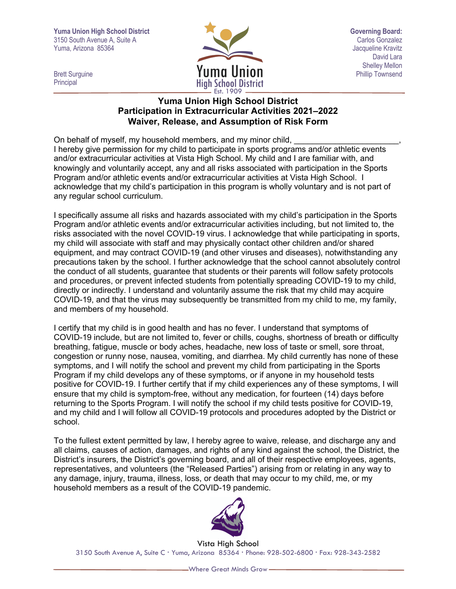**Yuma Union High School District Governing Board:** 3150 South Avenue A, Suite A Carlos Gonzalez Carlos Gonzalez Carlos Gonzalez Carlos Gonzalez Yuma, Arizona 85364 Jacqueline Kravitz



David Lara Shelley Mellon<br>Phillip Townsend

Principal

## **Yuma Union High School District Participation in Extracurricular Activities 2021–2022 Waiver, Release, and Assumption of Risk Form**

On behalf of myself, my household members, and my minor child, I hereby give permission for my child to participate in sports programs and/or athletic events and/or extracurricular activities at Vista High School. My child and I are familiar with, and knowingly and voluntarily accept, any and all risks associated with participation in the Sports Program and/or athletic events and/or extracurricular activities at Vista High School. I acknowledge that my child's participation in this program is wholly voluntary and is not part of any regular school curriculum.

I specifically assume all risks and hazards associated with my child's participation in the Sports Program and/or athletic events and/or extracurricular activities including, but not limited to, the risks associated with the novel COVID-19 virus. I acknowledge that while participating in sports, my child will associate with staff and may physically contact other children and/or shared equipment, and may contract COVID-19 (and other viruses and diseases), notwithstanding any precautions taken by the school. I further acknowledge that the school cannot absolutely control the conduct of all students, guarantee that students or their parents will follow safety protocols and procedures, or prevent infected students from potentially spreading COVID-19 to my child, directly or indirectly. I understand and voluntarily assume the risk that my child may acquire COVID-19, and that the virus may subsequently be transmitted from my child to me, my family, and members of my household.

I certify that my child is in good health and has no fever. I understand that symptoms of COVID-19 include, but are not limited to, fever or chills, coughs, shortness of breath or difficulty breathing, fatigue, muscle or body aches, headache, new loss of taste or smell, sore throat, congestion or runny nose, nausea, vomiting, and diarrhea. My child currently has none of these symptoms, and I will notify the school and prevent my child from participating in the Sports Program if my child develops any of these symptoms, or if anyone in my household tests positive for COVID-19. I further certify that if my child experiences any of these symptoms, I will ensure that my child is symptom-free, without any medication, for fourteen (14) days before returning to the Sports Program. I will notify the school if my child tests positive for COVID-19, and my child and I will follow all COVID-19 protocols and procedures adopted by the District or school.

To the fullest extent permitted by law, I hereby agree to waive, release, and discharge any and all claims, causes of action, damages, and rights of any kind against the school, the District, the District's insurers, the District's governing board, and all of their respective employees, agents, representatives, and volunteers (the "Released Parties") arising from or relating in any way to any damage, injury, trauma, illness, loss, or death that may occur to my child, me, or my household members as a result of the COVID-19 pandemic.



Vista High School 3150 South Avenue A, Suite C Yuma, Arizona 85364 Phone: 928-502-6800 Fax: 928-343-2582